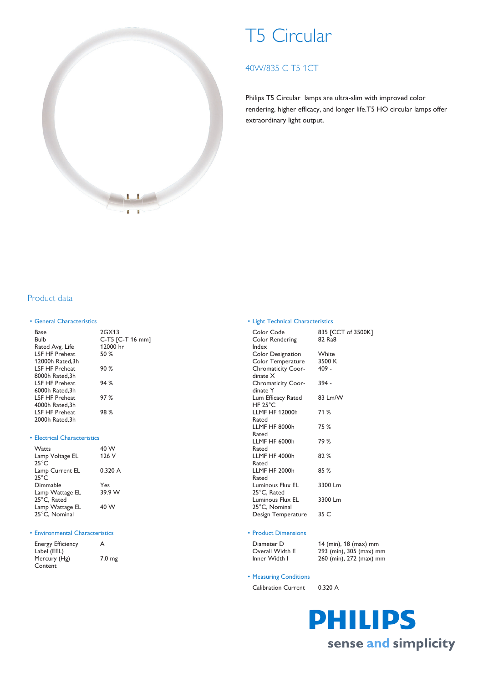

# T5 Circular

# 40W/835 C-T5 1CT

Philips T5 Circular lamps are ultra-slim with improved color rendering, higher efficacy, and longer life.T5 HO circular lamps offer extraordinary light output.

## Product data

#### • General Characteristics

| Base                   | 2GX13            |
|------------------------|------------------|
| Bulb                   | C-T5 [C-T 16 mm] |
| Rated Avg. Life        | 12000 hr         |
| <b>I SF HF Preheat</b> | 50%              |
| 12000h Rated, 3h       |                  |
| <b>I SF HF Preheat</b> | 90%              |
| 8000h Rated, 3h        |                  |
| <b>I SF HF Preheat</b> | 94%              |
| 6000h Rated, 3h        |                  |
| LSF HF Preheat         | 97%              |
| 4000h Rated, 3h        |                  |
| <b>I SF HF Preheat</b> | 98%              |
| 2000h Rated, 3h        |                  |
|                        |                  |

#### • Electrical Characteristics

| Watts           | 40 W   |
|-----------------|--------|
| Lamp Voltage EL | 126 V  |
| $25^{\circ}$ C  |        |
| Lamp Current EL | 0.320A |
| $25^{\circ}$ C  |        |
| Dimmable        | Yes    |
| Lamp Wattage EL | 39.9 W |
| 25°C, Rated     |        |
| Lamp Wattage EL | 40 W   |
| 25°C, Nominal   |        |

#### • Environmental Characteristics

| <b>Energy Efficiency</b> | A                 |
|--------------------------|-------------------|
| Label (EEL)              |                   |
| Mercury (Hg)             | 7.0 <sub>mg</sub> |
| Content                  |                   |

#### • Light Technical Characteristics

| Color Code<br>Color Rendering<br>Index                                          | 835 [CCT of 3500K]<br>82 Ra8 |
|---------------------------------------------------------------------------------|------------------------------|
| Color Designation<br>Color Temperature<br><b>Chromaticity Coor-</b><br>dinate X | White<br>3500 K<br>$409 -$   |
| <b>Chromaticity Coor-</b><br>dinate Y                                           | 394 -                        |
| Lum Efficacy Rated<br>HF 25 $^{\circ}$ C                                        | 83 Lm/W                      |
| <b>LLMF HF 12000h</b><br>Rated                                                  | 71 %                         |
| LLMF HF 8000h<br>Rated                                                          | 75 %                         |
| LLMF HF 6000h<br>Rated                                                          | 79 %                         |
| LLMF HF 4000h<br>Rated                                                          | 82%                          |
| LLMF HF 2000h<br>Rated                                                          | 85%                          |
| Luminous Flux EL<br>25°C, Rated                                                 | 3300 Lm                      |
| Luminous Flux EL<br>25°C, Nominal                                               | 3300 Lm                      |
| Design Temperature                                                              | 35 C                         |

#### • Product Dimensions

| Diameter D      | 14 (min), $18$ (max) mm |
|-----------------|-------------------------|
| Overall Width E | 293 (min), 305 (max) mm |
| Inner Width I   | 260 (min), 272 (max) mm |

#### • Measuring Conditions

Calibration Current 0.320 A